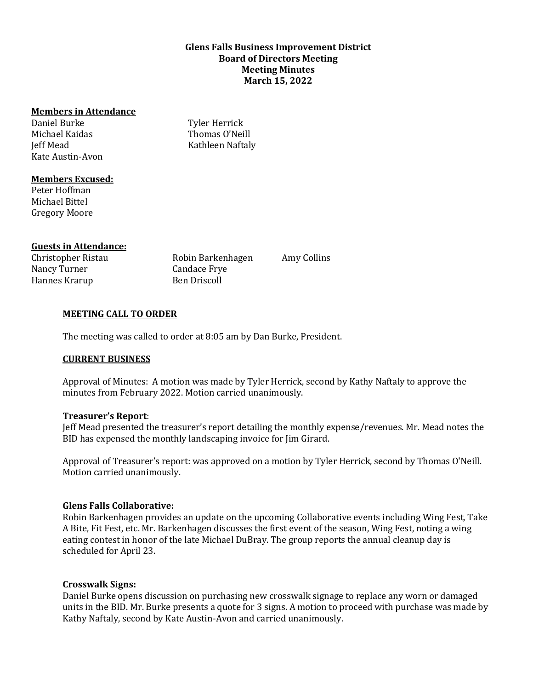# **Glens Falls Business Improvement District Board of Directors Meeting Meeting Minutes March 15, 2022**

## **Members in Attendance**

Daniel Burke Michael Kaidas Jeff Mead Kate Austin-Avon

Tyler Herrick Thomas O'Neill Kathleen Naftaly

## **Members Excused:**

Peter Hoffman Michael Bittel Gregory Moore

# **Guests in Attendance:**

Christopher Ristau Robin Barkenhagen Nancy Turner Candace Frye Hannes Krarup Ben Driscoll

Amy Collins

### **MEETING CALL TO ORDER**

The meeting was called to order at 8:05 am by Dan Burke, President.

### **CURRENT BUSINESS**

Approval of Minutes: A motion was made by Tyler Herrick, second by Kathy Naftaly to approve the minutes from February 2022. Motion carried unanimously.

### **Treasurer's Report**:

Jeff Mead presented the treasurer's report detailing the monthly expense/revenues. Mr. Mead notes the BID has expensed the monthly landscaping invoice for Jim Girard.

Approval of Treasurer's report: was approved on a motion by Tyler Herrick, second by Thomas O'Neill. Motion carried unanimously.

### **Glens Falls Collaborative:**

Robin Barkenhagen provides an update on the upcoming Collaborative events including Wing Fest, Take A Bite, Fit Fest, etc. Mr. Barkenhagen discusses the first event of the season, Wing Fest, noting a wing eating contest in honor of the late Michael DuBray. The group reports the annual cleanup day is scheduled for April 23.

### **Crosswalk Signs:**

Daniel Burke opens discussion on purchasing new crosswalk signage to replace any worn or damaged units in the BID. Mr. Burke presents a quote for 3 signs. A motion to proceed with purchase was made by Kathy Naftaly, second by Kate Austin-Avon and carried unanimously.